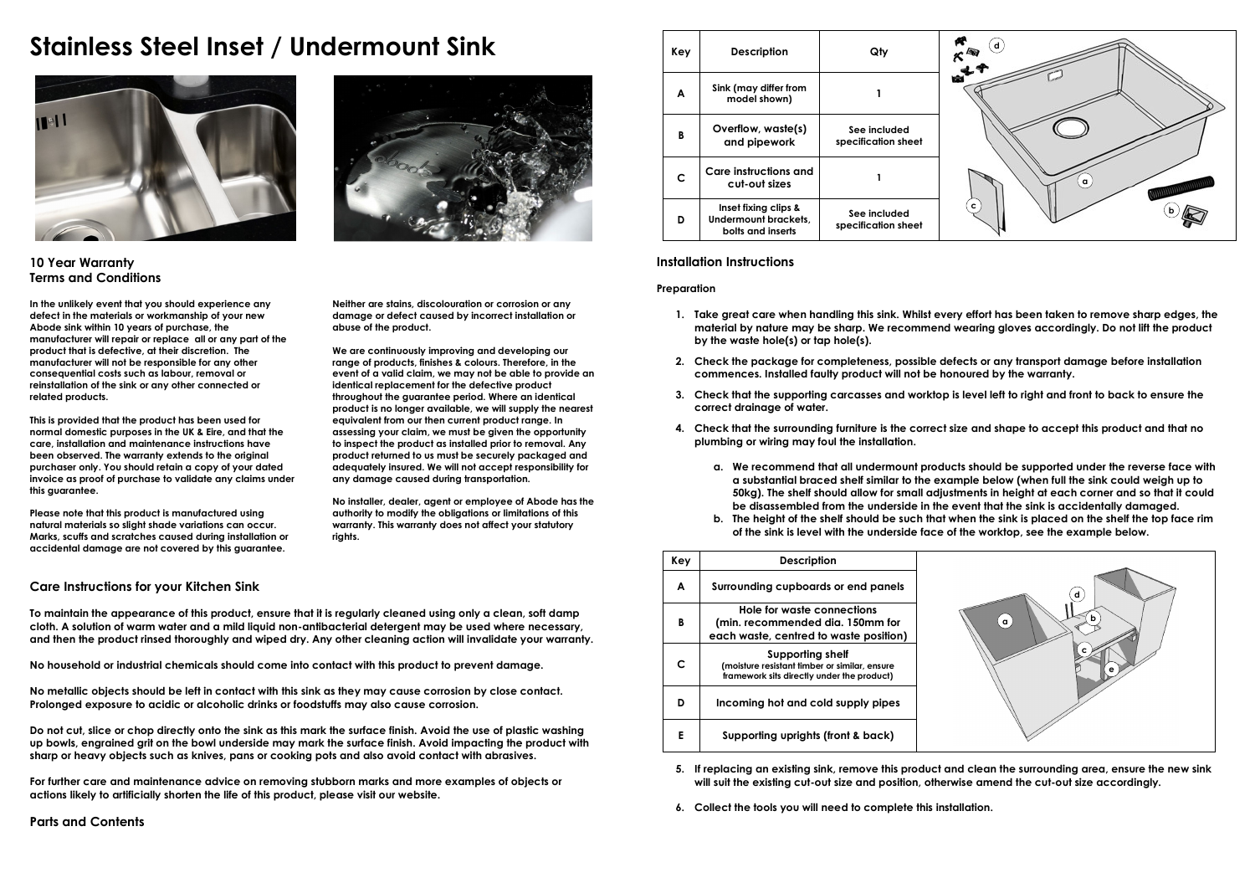# **Stainless Steel Inset / Undermount Sink**





**10 Year Warranty Terms and Conditions** 

**In the unlikely event that you should experience any defect in the materials or workmanship of your new Abode sink within 10 years of purchase, the manufacturer will repair or replace all or any part of the product that is defective, at their discretion. The manufacturer will not be responsible for any other consequential costs such as labour, removal or reinstallation of the sink or any other connected or related products.** 

**This is provided that the product has been used for normal domestic purposes in the UK & Eire, and that the care, installation and maintenance instructions have been observed. The warranty extends to the original purchaser only. You should retain a copy of your dated invoice as proof of purchase to validate any claims under this guarantee.** 

**Please note that this product is manufactured using natural materials so slight shade variations can occur. Marks, scuffs and scratches caused during installation or accidental damage are not covered by this guarantee.** 

**Neither are stains, discolouration or corrosion or any damage or defect caused by incorrect installation or abuse of the product.** 

**We are continuously improving and developing our range of products, finishes & colours. Therefore, in the event of a valid claim, we may not be able to provide an identical replacement for the defective product throughout the guarantee period. Where an identical product is no longer available, we will supply the nearest equivalent from our then current product range. In assessing your claim, we must be given the opportunity to inspect the product as installed prior to removal. Any product returned to us must be securely packaged and adequately insured. We will not accept responsibility for any damage caused during transportation.** 

**No installer, dealer, agent or employee of Abode has the authority to modify the obligations or limitations of this warranty. This warranty does not affect your statutory rights.** 

## **Care Instructions for your Kitchen Sink**

**To maintain the appearance of this product, ensure that it is regularly cleaned using only a clean, soft damp cloth. A solution of warm water and a mild liquid non-antibacterial detergent may be used where necessary, and then the product rinsed thoroughly and wiped dry. Any other cleaning action will invalidate your warranty.** 

**No household or industrial chemicals should come into contact with this product to prevent damage.** 

**No metallic objects should be left in contact with this sink as they may cause corrosion by close contact. Prolonged exposure to acidic or alcoholic drinks or foodstuffs may also cause corrosion.** 

**Do not cut, slice or chop directly onto the sink as this mark the surface finish. Avoid the use of plastic washing up bowls, engrained grit on the bowl underside may mark the surface finish. Avoid impacting the product with sharp or heavy objects such as knives, pans or cooking pots and also avoid contact with abrasives.** 

**For further care and maintenance advice on removing stubborn marks and more examples of objects or actions likely to artificially shorten the life of this product, please visit our website.** 

| Key | <b>Description</b>                                                | Qty                                 | d            |
|-----|-------------------------------------------------------------------|-------------------------------------|--------------|
| A   | Sink (may differ from<br>model shown)                             |                                     |              |
| B   | Overflow, waste(s)<br>and pipework                                | See included<br>specification sheet |              |
| c   | Care instructions and<br>cut-out sizes                            |                                     | $\alpha$     |
| D   | Inset fixing clips &<br>Undermount brackets,<br>bolts and inserts | See included<br>specification sheet | $\mathbf{c}$ |

## **Installation Instructions**

**Preparation** 

- **1. Take great care when handling this sink. Whilst every effort has been taken to remove sharp edges, the material by nature may be sharp. We recommend wearing gloves accordingly. Do not lift the product by the waste hole(s) or tap hole(s).**
- **2. Check the package for completeness, possible defects or any transport damage before installation commences. Installed faulty product will not be honoured by the warranty.**
- **3. Check that the supporting carcasses and worktop is level left to right and front to back to ensure the correct drainage of water.**
- **4. Check that the surrounding furniture is the correct size and shape to accept this product and that no plumbing or wiring may foul the installation.** 
	- **a. We recommend that all undermount products should be supported under the reverse face with a substantial braced shelf similar to the example below (when full the sink could weigh up to 50kg). The shelf should allow for small adjustments in height at each corner and so that it could be disassembled from the underside in the event that the sink is accidentally damaged.**
	- **b. The height of the shelf should be such that when the sink is placed on the shelf the top face rim of the sink is level with the underside face of the worktop, see the example below.**

| Key | <b>Description</b>                                                                                              |               |
|-----|-----------------------------------------------------------------------------------------------------------------|---------------|
| A   | Surrounding cupboards or end panels                                                                             | d             |
| B   | Hole for waste connections<br>(min. recommended dia. 150mm for<br>each waste, centred to waste position)        | n<br>$\alpha$ |
| c   | Supporting shelf<br>(moisture resistant timber or similar, ensure<br>framework sits directly under the product) |               |
| D   | Incoming hot and cold supply pipes                                                                              |               |
| Е   | Supporting uprights (front & back)                                                                              |               |

**5. If replacing an existing sink, remove this product and clean the surrounding area, ensure the new sink will suit the existing cut-out size and position, otherwise amend the cut-out size accordingly.** 

**6. Collect the tools you will need to complete this installation.**

# **Parts and Contents**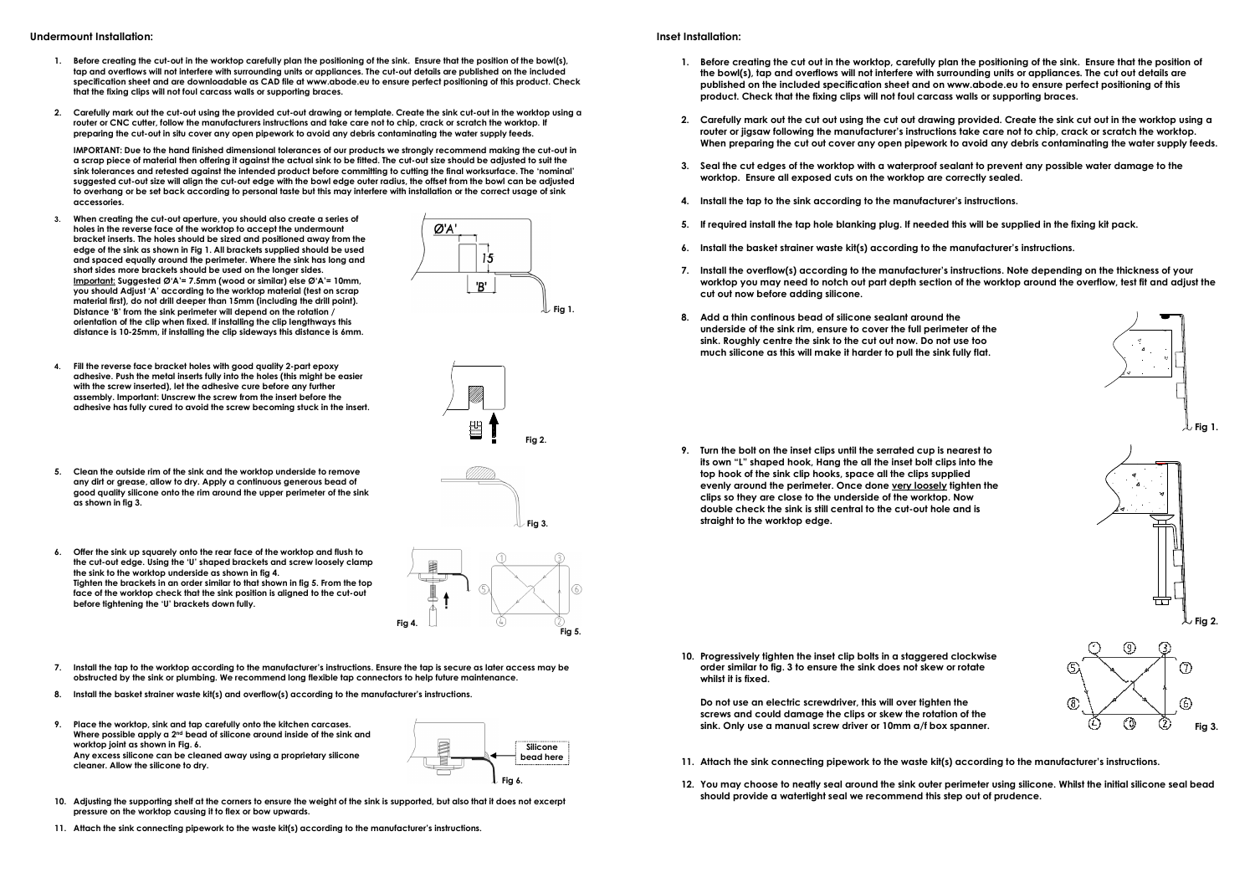- **1. Before creating the cut-out in the worktop carefully plan the positioning of the sink. Ensure that the position of the bowl(s), tap and overflows will not interfere with surrounding units or appliances. The cut-out details are published on the included specification sheet and are downloadable as CAD file at www.abode.eu to ensure perfect positioning of this product. Check that the fixing clips will not foul carcass walls or supporting braces.**
- **2. Carefully mark out the cut-out using the provided cut-out drawing or template. Create the sink cut-out in the worktop using a**  router or CNC cutter, follow the manufacturers instructions and take care not to chip, crack or scratch the worktop. If **preparing the cut-out in situ cover any open pipework to avoid any debris contaminating the water supply feeds.**

**IMPORTANT: Due to the hand finished dimensional tolerances of our products we strongly recommend making the cut-out in a scrap piece of material then offering it against the actual sink to be fitted. The cut-out size should be adjusted to suit the sink tolerances and retested against the intended product before committing to cutting the final worksurface. The 'nominal' suggested cut-out size will align the cut-out edge with the bowl edge outer radius, the offset from the bowl can be adjusted to overhang or be set back according to personal taste but this may interfere with installation or the correct usage of sink accessories.** 

- **3. When creating the cut-out aperture, you should also create a series of holes in the reverse face of the worktop to accept the undermount bracket inserts. The holes should be sized and positioned away from the edge of the sink as shown in Fig 1. All brackets supplied should be used and spaced equally around the perimeter. Where the sink has long and short sides more brackets should be used on the longer sides. Important: Suggested Ø'A'= 7.5mm (wood or similar) else Ø'A'= 10mm, you should Adjust 'A' according to the worktop material (test on scrap material first), do not drill deeper than 15mm (including the drill point). Distance 'B' from the sink perimeter will depend on the rotation / orientation of the clip when fixed. If installing the clip lengthways this distance is 10-25mm, if installing the clip sideways this distance is 6mm.**
- **4. Fill the reverse face bracket holes with good quality 2-part epoxy adhesive. Push the metal inserts fully into the holes (this might be easier with the screw inserted), let the adhesive cure before any further assembly. Important: Unscrew the screw from the insert before the adhesive has fully cured to avoid the screw becoming stuck in the insert.**
- **5. Clean the outside rim of the sink and the worktop underside to remove any dirt or grease, allow to dry. Apply a continuous generous bead of good quality silicone onto the rim around the upper perimeter of the sink as shown in fig 3.**
- **6. Offer the sink up squarely onto the rear face of the worktop and flush to the cut-out edge. Using the 'U' shaped brackets and screw loosely clamp the sink to the worktop underside as shown in fig 4. Tighten the brackets in an order similar to that shown in fig 5. From the top face of the worktop check that the sink position is aligned to the cut-out before tightening the 'U' brackets down fully.**



**Fig 4.** 

Ø'A

 $15$ 'B'

- **8. Install the basket strainer waste kit(s) and overflow(s) according to the manufacturer's instructions.**
- **9. Place the worktop, sink and tap carefully onto the kitchen carcases. Where possible apply a 2nd bead of silicone around inside of the sink and worktop joint as shown in Fig. 6. Any excess silicone can be cleaned away using a proprietary silicone cleaner. Allow the silicone to dry.**



**Fig 1.**

**Fig 2.**

**Fig 3.**

**Fig 5.** 

- **10. Adjusting the supporting shelf at the corners to ensure the weight of the sink is supported, but also that it does not excerpt pressure on the worktop causing it to flex or bow upwards.**
- **11. Attach the sink connecting pipework to the waste kit(s) according to the manufacturer's instructions.**

#### **Inset Installation:**

- **1. Before creating the cut out in the worktop, carefully plan the positioning of the sink. Ensure that the position of the bowl(s), tap and overflows will not interfere with surrounding units or appliances. The cut out details are published on the included specification sheet and on www.abode.eu to ensure perfect positioning of this product. Check that the fixing clips will not foul carcass walls or supporting braces.**
- **2. Carefully mark out the cut out using the cut out drawing provided. Create the sink cut out in the worktop using a router or jigsaw following the manufacturer's instructions take care not to chip, crack or scratch the worktop. When preparing the cut out cover any open pipework to avoid any debris contaminating the water supply feeds.**
- **3. Seal the cut edges of the worktop with a waterproof sealant to prevent any possible water damage to the worktop. Ensure all exposed cuts on the worktop are correctly sealed.**
- **4. Install the tap to the sink according to the manufacturer's instructions.**
- **5. If required install the tap hole blanking plug. If needed this will be supplied in the fixing kit pack.**
- **6. Install the basket strainer waste kit(s) according to the manufacturer's instructions.**
- **7. Install the overflow(s) according to the manufacturer's instructions. Note depending on the thickness of your worktop you may need to notch out part depth section of the worktop around the overflow, test fit and adjust the cut out now before adding silicone.**
- **8. Add a thin continous bead of silicone sealant around the underside of the sink rim, ensure to cover the full perimeter of the sink. Roughly centre the sink to the cut out now. Do not use too much silicone as this will make it harder to pull the sink fully flat.**



**9. Turn the bolt on the inset clips until the serrated cup is nearest to its own "L" shaped hook, Hang the all the inset bolt clips into the top hook of the sink clip hooks, space all the clips supplied evenly around the perimeter. Once done very loosely tighten the clips so they are close to the underside of the worktop. Now double check the sink is still central to the cut-out hole and is straight to the worktop edge.** 



**10. Progressively tighten the inset clip bolts in a staggered clockwise order similar to fig. 3 to ensure the sink does not skew or rotate whilst it is fixed.** 

**Do not use an electric screwdriver, this will over tighten the screws and could damage the clips or skew the rotation of the** sink. Only use a manual screw driver or 10mm a/f box spanner.  $\quad \begin{array}{cc} \text{(L)} & \text{(I)} & \text{(R)} \end{array}$  Fig 3.

- 
- **11. Attach the sink connecting pipework to the waste kit(s) according to the manufacturer's instructions.**
- **12. You may choose to neatly seal around the sink outer perimeter using silicone. Whilst the initial silicone seal bead should provide a watertight seal we recommend this step out of prudence.**